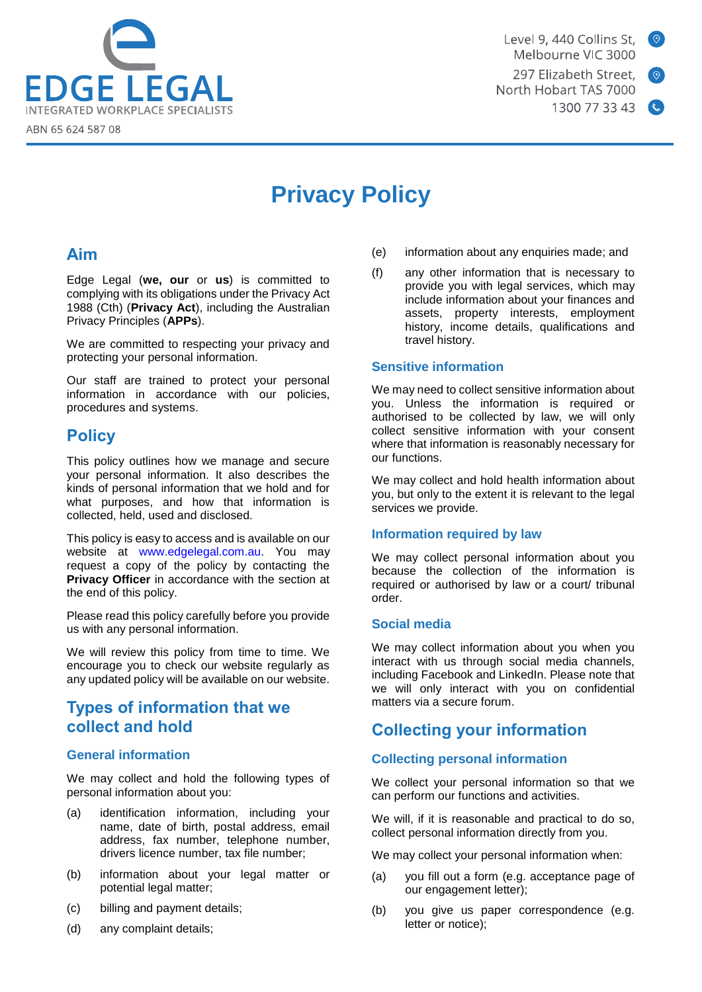

Level 9, 440 Collins St. Melbourne VIC 3000 297 Elizabeth Street. North Hobart TAS 7000 1300 77 33 43



# **Privacy Policy**

# **Aim**

Edge Legal (**we, our** or **us**) is committed to complying with its obligations under the Privacy Act 1988 (Cth) (**Privacy Act**), including the Australian Privacy Principles (**APPs**).

We are committed to respecting your privacy and protecting your personal information.

Our staff are trained to protect your personal information in accordance with our policies, procedures and systems.

# **Policy**

This policy outlines how we manage and secure your personal information. It also describes the kinds of personal information that we hold and for what purposes, and how that information is collected, held, used and disclosed.

This policy is easy to access and is available on our website at [www.edgelegal.com.au.](http://www.edgelegal.com./) You may request a copy of the policy by contacting the **Privacy Officer** in accordance with the section at the end of this policy.

Please read this policy carefully before you provide us with any personal information.

We will review this policy from time to time. We encourage you to check our website regularly as any updated policy will be available on our website.

# **Types of information that we collect and hold**

### **General information**

We may collect and hold the following types of personal information about you:

- (a) identification information, including your name, date of birth, postal address, email address, fax number, telephone number, drivers licence number, tax file number;
- (b) information about your legal matter or potential legal matter;
- (c) billing and payment details;
- (d) any complaint details;
- (e) information about any enquiries made; and
- (f) any other information that is necessary to provide you with legal services, which may include information about your finances and assets, property interests, employment history, income details, qualifications and travel history.

### **Sensitive information**

We may need to collect sensitive information about you. Unless the information is required or authorised to be collected by law, we will only collect sensitive information with your consent where that information is reasonably necessary for our functions.

We may collect and hold health information about you, but only to the extent it is relevant to the legal services we provide.

### **Information required by law**

We may collect personal information about you because the collection of the information is required or authorised by law or a court/ tribunal order.

### **Social media**

We may collect information about you when you interact with us through social media channels, including Facebook and LinkedIn. Please note that we will only interact with you on confidential matters via a secure forum.

# **Collecting your information**

### **Collecting personal information**

We collect your personal information so that we can perform our functions and activities.

We will, if it is reasonable and practical to do so, collect personal information directly from you.

We may collect your personal information when:

- (a) you fill out a form (e.g. acceptance page of our engagement letter);
- (b) you give us paper correspondence (e.g. letter or notice);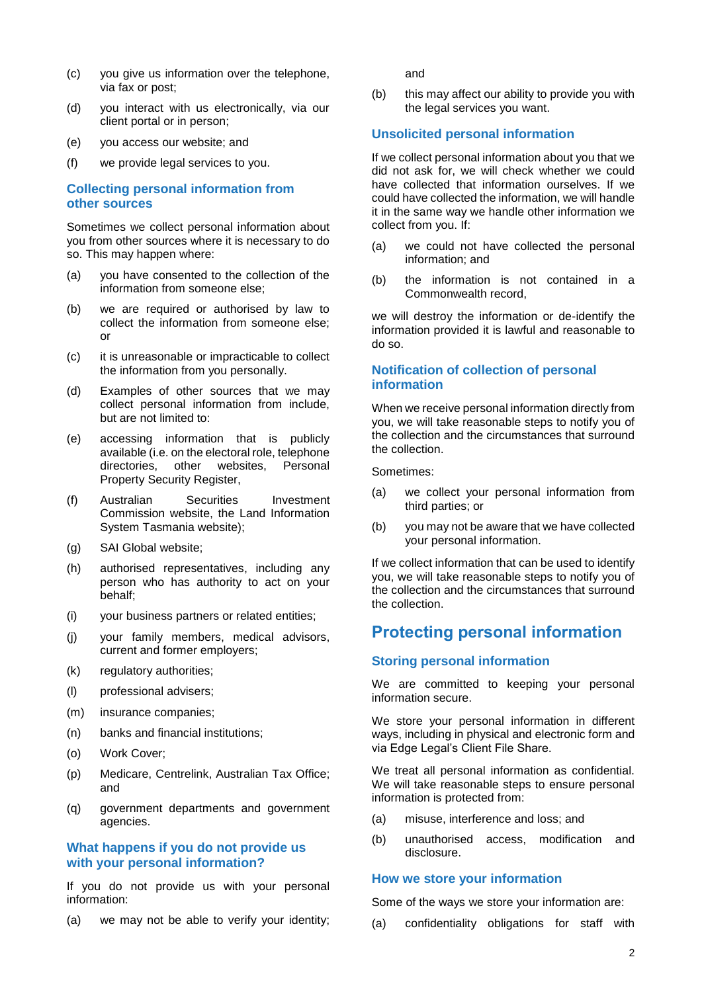- (c) you give us information over the telephone, via fax or post;
- (d) you interact with us electronically, via our client portal or in person;
- (e) you access our website; and
- (f) we provide legal services to you.

#### **Collecting personal information from other sources**

Sometimes we collect personal information about you from other sources where it is necessary to do so. This may happen where:

- (a) you have consented to the collection of the information from someone else;
- (b) we are required or authorised by law to collect the information from someone else; or
- (c) it is unreasonable or impracticable to collect the information from you personally.
- (d) Examples of other sources that we may collect personal information from include, but are not limited to:
- (e) accessing information that is publicly available (i.e. on the electoral role, telephone directories, other websites, Personal Property Security Register,
- (f) Australian Securities Investment Commission website, the Land Information System Tasmania website);
- (g) SAI Global website;
- (h) authorised representatives, including any person who has authority to act on your behalf;
- (i) your business partners or related entities;
- (j) your family members, medical advisors, current and former employers;
- (k) regulatory authorities;
- (l) professional advisers;
- (m) insurance companies;
- (n) banks and financial institutions;
- (o) Work Cover;
- (p) Medicare, Centrelink, Australian Tax Office; and
- (q) government departments and government agencies.

#### **What happens if you do not provide us with your personal information?**

If you do not provide us with your personal information:

(a) we may not be able to verify your identity;

and

(b) this may affect our ability to provide you with the legal services you want.

#### **Unsolicited personal information**

If we collect personal information about you that we did not ask for, we will check whether we could have collected that information ourselves. If we could have collected the information, we will handle it in the same way we handle other information we collect from you. If:

- (a) we could not have collected the personal information; and
- (b) the information is not contained in a Commonwealth record,

we will destroy the information or de-identify the information provided it is lawful and reasonable to do so.

#### **Notification of collection of personal information**

When we receive personal information directly from you, we will take reasonable steps to notify you of the collection and the circumstances that surround the collection.

Sometimes:

- (a) we collect your personal information from third parties; or
- (b) you may not be aware that we have collected your personal information.

If we collect information that can be used to identify you, we will take reasonable steps to notify you of the collection and the circumstances that surround the collection.

### **Protecting personal information**

#### **Storing personal information**

We are committed to keeping your personal information secure.

We store your personal information in different ways, including in physical and electronic form and via Edge Legal's Client File Share.

We treat all personal information as confidential. We will take reasonable steps to ensure personal information is protected from:

- (a) misuse, interference and loss; and
- (b) unauthorised access, modification and disclosure.

#### **How we store your information**

Some of the ways we store your information are:

(a) confidentiality obligations for staff with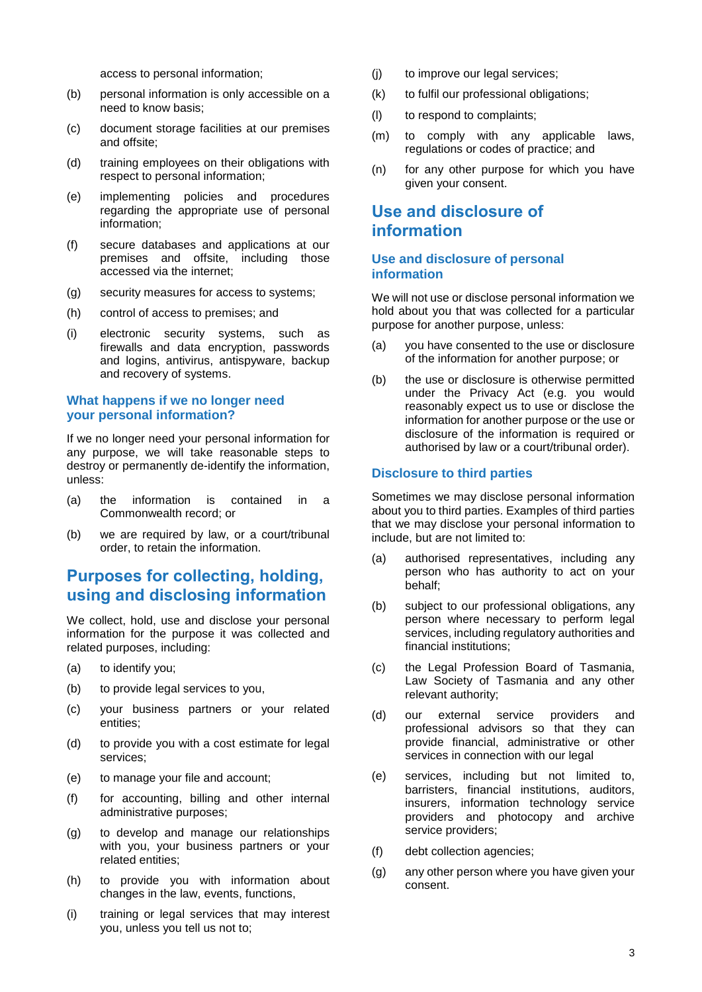access to personal information;

- (b) personal information is only accessible on a need to know basis;
- (c) document storage facilities at our premises and offsite;
- (d) training employees on their obligations with respect to personal information;
- (e) implementing policies and procedures regarding the appropriate use of personal information;
- (f) secure databases and applications at our premises and offsite, including those accessed via the internet;
- (g) security measures for access to systems;
- (h) control of access to premises; and
- (i) electronic security systems, such as firewalls and data encryption, passwords and logins, antivirus, antispyware, backup and recovery of systems.

#### **What happens if we no longer need your personal information?**

If we no longer need your personal information for any purpose, we will take reasonable steps to destroy or permanently de-identify the information, unless:

- (a) the information is contained in a Commonwealth record; or
- (b) we are required by law, or a court/tribunal order, to retain the information.

# **Purposes for collecting, holding, using and disclosing information**

We collect, hold, use and disclose your personal information for the purpose it was collected and related purposes, including:

- (a) to identify you;
- (b) to provide legal services to you,
- (c) your business partners or your related entities;
- (d) to provide you with a cost estimate for legal services;
- (e) to manage your file and account;
- (f) for accounting, billing and other internal administrative purposes;
- (g) to develop and manage our relationships with you, your business partners or your related entities;
- (h) to provide you with information about changes in the law, events, functions,
- (i) training or legal services that may interest you, unless you tell us not to;
- (j) to improve our legal services;
- (k) to fulfil our professional obligations;
- (l) to respond to complaints;
- (m) to comply with any applicable laws, regulations or codes of practice; and
- (n) for any other purpose for which you have given your consent.

# **Use and disclosure of information**

#### **Use and disclosure of personal information**

We will not use or disclose personal information we hold about you that was collected for a particular purpose for another purpose, unless:

- (a) you have consented to the use or disclosure of the information for another purpose; or
- (b) the use or disclosure is otherwise permitted under the Privacy Act (e.g. you would reasonably expect us to use or disclose the information for another purpose or the use or disclosure of the information is required or authorised by law or a court/tribunal order).

#### **Disclosure to third parties**

Sometimes we may disclose personal information about you to third parties. Examples of third parties that we may disclose your personal information to include, but are not limited to:

- (a) authorised representatives, including any person who has authority to act on your behalf;
- (b) subject to our professional obligations, any person where necessary to perform legal services, including regulatory authorities and financial institutions;
- (c) the Legal Profession Board of Tasmania, Law Society of Tasmania and any other relevant authority;
- (d) our external service providers and professional advisors so that they can provide financial, administrative or other services in connection with our legal
- (e) services, including but not limited to, barristers, financial institutions, auditors, insurers, information technology service providers and photocopy and archive service providers;
- (f) debt collection agencies;
- (g) any other person where you have given your consent.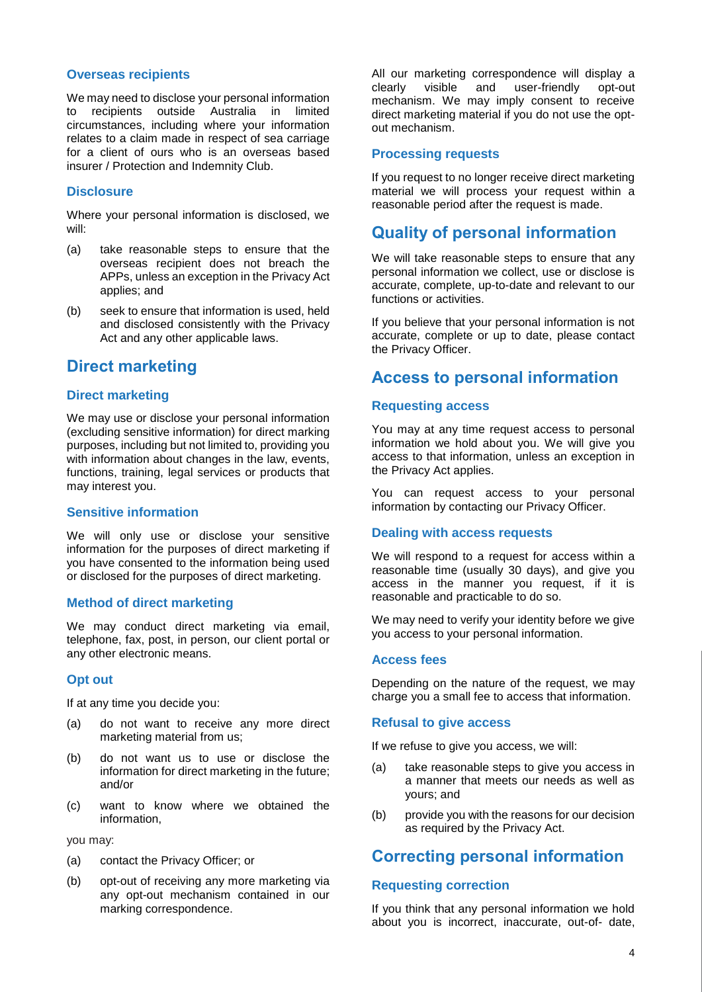### **Overseas recipients**

We may need to disclose your personal information to recipients outside Australia in limited circumstances, including where your information relates to a claim made in respect of sea carriage for a client of ours who is an overseas based insurer / Protection and Indemnity Club.

#### **Disclosure**

Where your personal information is disclosed, we will:

- (a) take reasonable steps to ensure that the overseas recipient does not breach the APPs, unless an exception in the Privacy Act applies; and
- (b) seek to ensure that information is used, held and disclosed consistently with the Privacy Act and any other applicable laws.

# **Direct marketing**

#### **Direct marketing**

We may use or disclose your personal information (excluding sensitive information) for direct marking purposes, including but not limited to, providing you with information about changes in the law, events, functions, training, legal services or products that may interest you.

#### **Sensitive information**

We will only use or disclose your sensitive information for the purposes of direct marketing if you have consented to the information being used or disclosed for the purposes of direct marketing.

#### **Method of direct marketing**

We may conduct direct marketing via email, telephone, fax, post, in person, our client portal or any other electronic means.

#### **Opt out**

If at any time you decide you:

- (a) do not want to receive any more direct marketing material from us;
- (b) do not want us to use or disclose the information for direct marketing in the future; and/or
- (c) want to know where we obtained the information,

you may:

- (a) contact the Privacy Officer; or
- (b) opt-out of receiving any more marketing via any opt-out mechanism contained in our marking correspondence.

All our marketing correspondence will display a clearly visible and user-friendly opt-out mechanism. We may imply consent to receive direct marketing material if you do not use the optout mechanism.

#### **Processing requests**

If you request to no longer receive direct marketing material we will process your request within a reasonable period after the request is made.

# **Quality of personal information**

We will take reasonable steps to ensure that any personal information we collect, use or disclose is accurate, complete, up-to-date and relevant to our functions or activities.

If you believe that your personal information is not accurate, complete or up to date, please contact the Privacy Officer.

### **Access to personal information**

#### **Requesting access**

You may at any time request access to personal information we hold about you. We will give you access to that information, unless an exception in the Privacy Act applies.

You can request access to your personal information by contacting our Privacy Officer.

#### **Dealing with access requests**

We will respond to a request for access within a reasonable time (usually 30 days), and give you access in the manner you request, if it is reasonable and practicable to do so.

We may need to verify your identity before we give you access to your personal information.

#### **Access fees**

Depending on the nature of the request, we may charge you a small fee to access that information.

#### **Refusal to give access**

If we refuse to give you access, we will:

- (a) take reasonable steps to give you access in a manner that meets our needs as well as yours; and
- (b) provide you with the reasons for our decision as required by the Privacy Act.

# **Correcting personal information**

#### **Requesting correction**

If you think that any personal information we hold about you is incorrect, inaccurate, out-of- date,